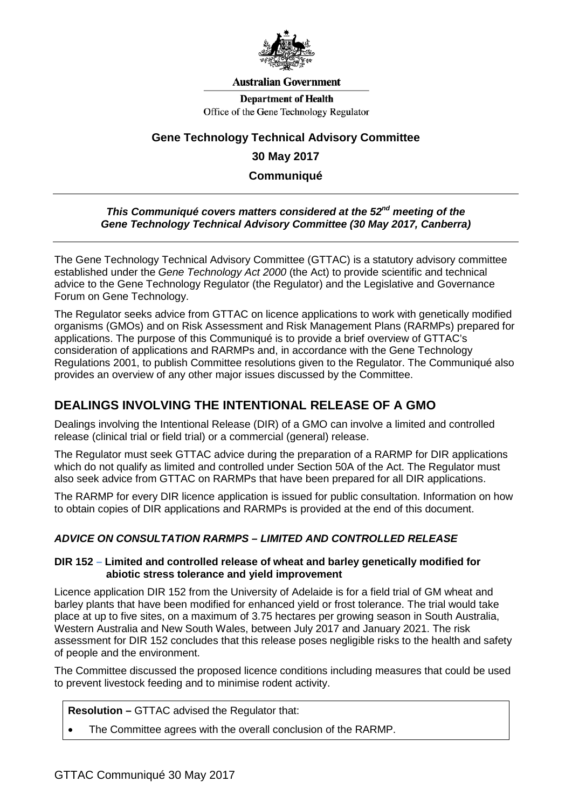

#### **Australian Government**

**Department of Health** Office of the Gene Technology Regulator

# **Gene Technology Technical Advisory Committee**

#### **30 May 2017**

**Communiqué**

#### *This Communiqué covers matters considered at the 52nd meeting of the Gene Technology Technical Advisory Committee (30 May 2017, Canberra)*

The Gene Technology Technical Advisory Committee (GTTAC) is a statutory advisory committee established under the *Gene Technology Act 2000* (the Act) to provide scientific and technical advice to the Gene Technology Regulator (the Regulator) and the Legislative and Governance Forum on Gene Technology.

The Regulator seeks advice from GTTAC on licence applications to work with genetically modified organisms (GMOs) and on Risk Assessment and Risk Management Plans (RARMPs) prepared for applications. The purpose of this Communiqué is to provide a brief overview of GTTAC's consideration of applications and RARMPs and, in accordance with the Gene Technology Regulations 2001, to publish Committee resolutions given to the Regulator. The Communiqué also provides an overview of any other major issues discussed by the Committee.

### **DEALINGS INVOLVING THE INTENTIONAL RELEASE OF A GMO**

Dealings involving the Intentional Release (DIR) of a GMO can involve a limited and controlled release (clinical trial or field trial) or a commercial (general) release.

The Regulator must seek GTTAC advice during the preparation of a RARMP for DIR applications which do not qualify as limited and controlled under Section 50A of the Act. The Regulator must also seek advice from GTTAC on RARMPs that have been prepared for all DIR applications.

The RARMP for every DIR licence application is issued for public consultation. Information on how to obtain copies of DIR applications and RARMPs is provided at the end of this document.

### *ADVICE ON CONSULTATION RARMPS – LIMITED AND CONTROLLED RELEASE*

#### **DIR 152 – Limited and controlled release of wheat and barley genetically modified for abiotic stress tolerance and yield improvement**

Licence application DIR 152 from the University of Adelaide is for a field trial of GM wheat and barley plants that have been modified for enhanced yield or frost tolerance. The trial would take place at up to five sites, on a maximum of 3.75 hectares per growing season in South Australia, Western Australia and New South Wales, between July 2017 and January 2021. The risk assessment for DIR 152 concludes that this release poses negligible risks to the health and safety of people and the environment.

The Committee discussed the proposed licence conditions including measures that could be used to prevent livestock feeding and to minimise rodent activity.

**Resolution –** GTTAC advised the Regulator that:

• The Committee agrees with the overall conclusion of the RARMP.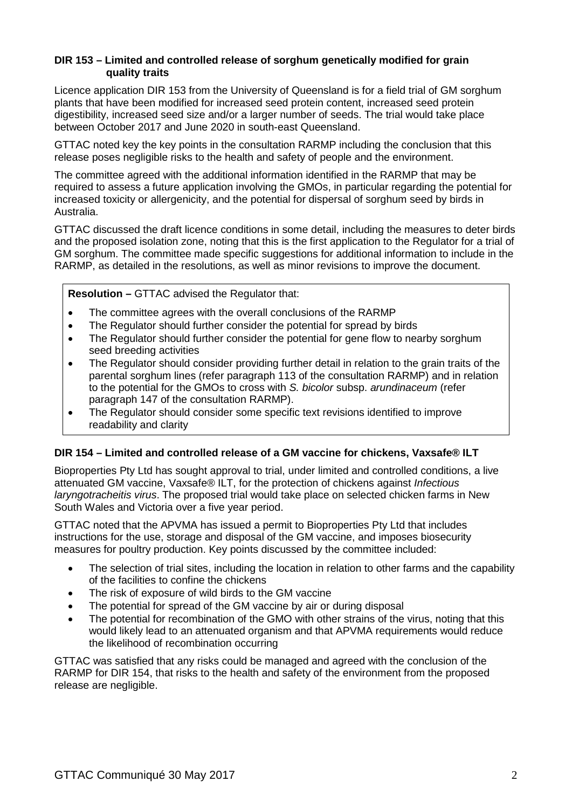#### **DIR 153 – Limited and controlled release of sorghum genetically modified for grain quality traits**

Licence application DIR 153 from the University of Queensland is for a field trial of GM sorghum plants that have been modified for increased seed protein content, increased seed protein digestibility, increased seed size and/or a larger number of seeds. The trial would take place between October 2017 and June 2020 in south-east Queensland.

GTTAC noted key the key points in the consultation RARMP including the conclusion that this release poses negligible risks to the health and safety of people and the environment.

The committee agreed with the additional information identified in the RARMP that may be required to assess a future application involving the GMOs, in particular regarding the potential for increased toxicity or allergenicity, and the potential for dispersal of sorghum seed by birds in Australia.

GTTAC discussed the draft licence conditions in some detail, including the measures to deter birds and the proposed isolation zone, noting that this is the first application to the Regulator for a trial of GM sorghum. The committee made specific suggestions for additional information to include in the RARMP, as detailed in the resolutions, as well as minor revisions to improve the document.

**Resolution –** GTTAC advised the Regulator that:

- The committee agrees with the overall conclusions of the RARMP
- The Regulator should further consider the potential for spread by birds
- The Regulator should further consider the potential for gene flow to nearby sorghum seed breeding activities
- The Regulator should consider providing further detail in relation to the grain traits of the parental sorghum lines (refer paragraph 113 of the consultation RARMP) and in relation to the potential for the GMOs to cross with *S. bicolor* subsp. *arundinaceum* (refer paragraph 147 of the consultation RARMP).
- The Regulator should consider some specific text revisions identified to improve readability and clarity

### **DIR 154 – Limited and controlled release of a GM vaccine for chickens, Vaxsafe® ILT**

Bioproperties Pty Ltd has sought approval to trial, under limited and controlled conditions, a live attenuated GM vaccine, Vaxsafe® ILT, for the protection of chickens against *Infectious laryngotracheitis virus*. The proposed trial would take place on selected chicken farms in New South Wales and Victoria over a five year period.

GTTAC noted that the APVMA has issued a permit to Bioproperties Pty Ltd that includes instructions for the use, storage and disposal of the GM vaccine, and imposes biosecurity measures for poultry production. Key points discussed by the committee included:

- The selection of trial sites, including the location in relation to other farms and the capability of the facilities to confine the chickens
- The risk of exposure of wild birds to the GM vaccine
- The potential for spread of the GM vaccine by air or during disposal
- The potential for recombination of the GMO with other strains of the virus, noting that this would likely lead to an attenuated organism and that APVMA requirements would reduce the likelihood of recombination occurring

GTTAC was satisfied that any risks could be managed and agreed with the conclusion of the RARMP for DIR 154, that risks to the health and safety of the environment from the proposed release are negligible.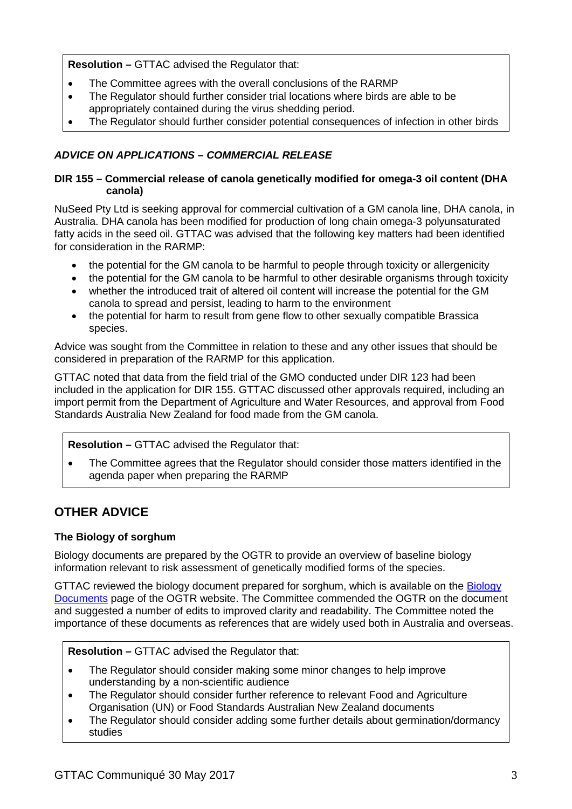**Resolution –** GTTAC advised the Regulator that:

- The Committee agrees with the overall conclusions of the RARMP
- The Regulator should further consider trial locations where birds are able to be appropriately contained during the virus shedding period.
- The Regulator should further consider potential consequences of infection in other birds

## *ADVICE ON APPLICATIONS – COMMERCIAL RELEASE*

#### **DIR 155 – Commercial release of canola genetically modified for omega-3 oil content (DHA canola)**

NuSeed Pty Ltd is seeking approval for commercial cultivation of a GM canola line, DHA canola, in Australia. DHA canola has been modified for production of long chain omega-3 polyunsaturated fatty acids in the seed oil. GTTAC was advised that the following key matters had been identified for consideration in the RARMP:

- the potential for the GM canola to be harmful to people through toxicity or allergenicity
- the potential for the GM canola to be harmful to other desirable organisms through toxicity
- whether the introduced trait of altered oil content will increase the potential for the GM canola to spread and persist, leading to harm to the environment
- the potential for harm to result from gene flow to other sexually compatible Brassica species.

Advice was sought from the Committee in relation to these and any other issues that should be considered in preparation of the RARMP for this application.

GTTAC noted that data from the field trial of the GMO conducted under DIR 123 had been included in the application for DIR 155. GTTAC discussed other approvals required, including an import permit from the Department of Agriculture and Water Resources, and approval from Food Standards Australia New Zealand for food made from the GM canola.

### **Resolution –** GTTAC advised the Regulator that:

• The Committee agrees that the Regulator should consider those matters identified in the agenda paper when preparing the RARMP

# **OTHER ADVICE**

### **The Biology of sorghum**

Biology documents are prepared by the OGTR to provide an overview of baseline biology information relevant to risk assessment of genetically modified forms of the species.

GTTAC reviewed the biology document prepared for sorghum, which is available on the Biology [Documents](http://www.ogtr.gov.au/internet/ogtr/publishing.nsf/Content/biology-documents-1) page of the OGTR website. The Committee commended the OGTR on the document and suggested a number of edits to improved clarity and readability. The Committee noted the importance of these documents as references that are widely used both in Australia and overseas.

**Resolution –** GTTAC advised the Regulator that:

- The Regulator should consider making some minor changes to help improve understanding by a non-scientific audience
- The Regulator should consider further reference to relevant Food and Agriculture Organisation (UN) or Food Standards Australian New Zealand documents
- The Regulator should consider adding some further details about germination/dormancy studies